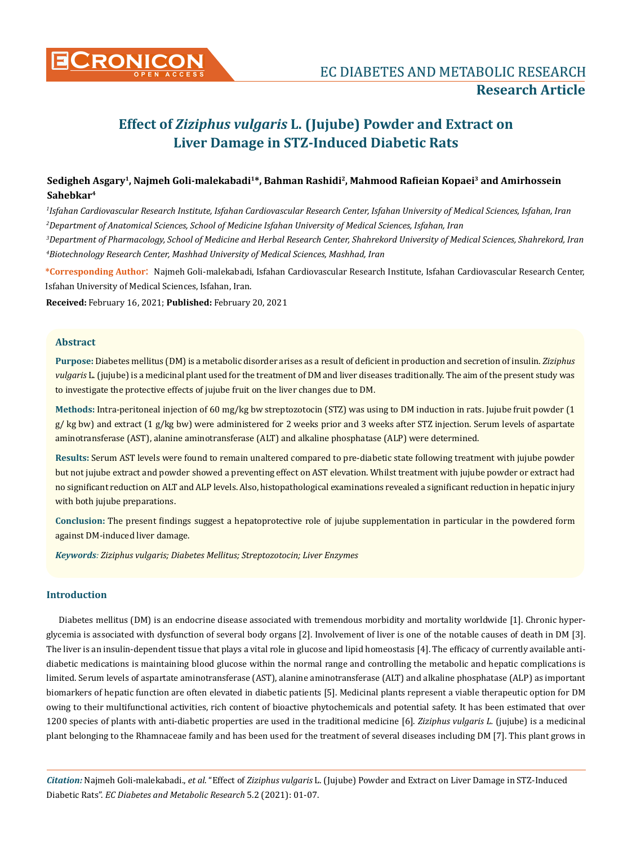

# **Effect of** *Ziziphus vulgaris* **L. (Jujube) Powder and Extract on Liver Damage in STZ-Induced Diabetic Rats**

# **Sedigheh Asgary1, Najmeh Goli-malekabadi1\*, Bahman Rashidi2, Mahmood Rafieian Kopaei3 and Amirhossein Sahebkar4**

*1 Isfahan Cardiovascular Research Institute, Isfahan Cardiovascular Research Center, Isfahan University of Medical Sciences, Isfahan, Iran 2 Department of Anatomical Sciences, School of Medicine Isfahan University of Medical Sciences, Isfahan, Iran*

*3 Department of Pharmacology, School of Medicine and Herbal Research Center, Shahrekord University of Medical Sciences, Shahrekord, Iran 4 Biotechnology Research Center, Mashhad University of Medical Sciences, Mashhad, Iran*

**\*Corresponding Author**: Najmeh Goli-malekabadi, Isfahan Cardiovascular Research Institute, Isfahan Cardiovascular Research Center, Isfahan University of Medical Sciences, Isfahan, Iran.

**Received:** February 16, 2021; **Published:** February 20, 2021

#### **Abstract**

**Purpose:** Diabetes mellitus (DM) is a metabolic disorder arises as a result of deficient in production and secretion of insulin. *Ziziphus vulgaris* L. (jujube) is a medicinal plant used for the treatment of DM and liver diseases traditionally. The aim of the present study was to investigate the protective effects of jujube fruit on the liver changes due to DM.

**Methods:** Intra-peritoneal injection of 60 mg/kg bw streptozotocin (STZ) was using to DM induction in rats. Jujube fruit powder (1 g/ kg bw) and extract (1 g/kg bw) were administered for 2 weeks prior and 3 weeks after STZ injection. Serum levels of aspartate aminotransferase (AST), alanine aminotransferase (ALT) and alkaline phosphatase (ALP) were determined.

**Results:** Serum AST levels were found to remain unaltered compared to pre-diabetic state following treatment with jujube powder but not jujube extract and powder showed a preventing effect on AST elevation. Whilst treatment with jujube powder or extract had no significant reduction on ALT and ALP levels. Also, histopathological examinations revealed a significant reduction in hepatic injury with both jujube preparations.

**Conclusion:** The present findings suggest a hepatoprotective role of jujube supplementation in particular in the powdered form against DM-induced liver damage.

*Keywords: Ziziphus vulgaris; Diabetes Mellitus; Streptozotocin; Liver Enzymes*

## **Introduction**

Diabetes mellitus (DM) is an endocrine disease associated with tremendous morbidity and mortality worldwide [1]. Chronic hyperglycemia is associated with dysfunction of several body organs [2]. Involvement of liver is one of the notable causes of death in DM [3]. The liver is an insulin-dependent tissue that plays a vital role in glucose and lipid homeostasis [4]. The efficacy of currently available antidiabetic medications is maintaining blood glucose within the normal range and controlling the metabolic and hepatic complications is limited. Serum levels of aspartate aminotransferase (AST), alanine aminotransferase (ALT) and alkaline phosphatase (ALP) as important biomarkers of hepatic function are often elevated in diabetic patients [5]. Medicinal plants represent a viable therapeutic option for DM owing to their multifunctional activities, rich content of bioactive phytochemicals and potential safety. It has been estimated that over 1200 species of plants with anti-diabetic properties are used in the traditional medicine [6]. *Ziziphus vulgaris L.* (jujube) is a medicinal plant belonging to the Rhamnaceae family and has been used for the treatment of several diseases including DM [7]. This plant grows in

*Citation:* Najmeh Goli-malekabadi., *et al*. "Effect of *Ziziphus vulgaris* L. (Jujube) Powder and Extract on Liver Damage in STZ-Induced Diabetic Rats". *EC Diabetes and Metabolic Research* 5.2 (2021): 01-07.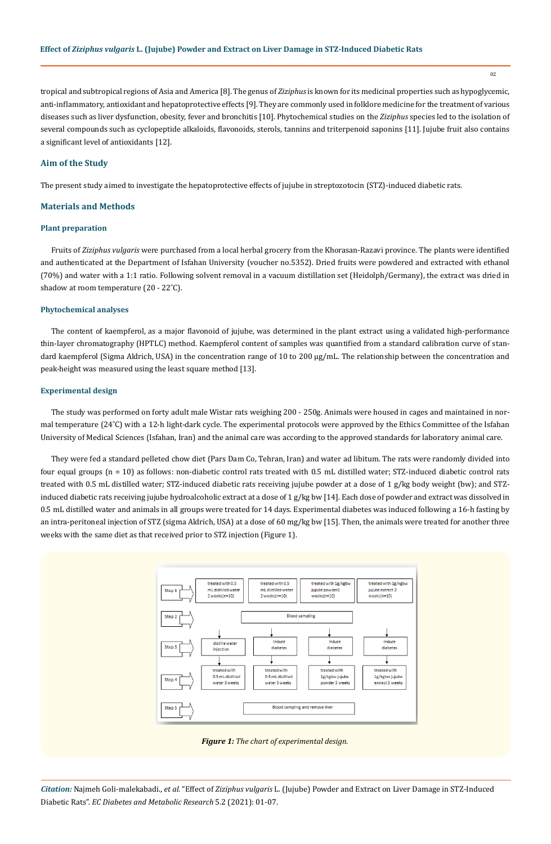02

tropical and subtropical regions of Asia and America [8]. The genus of *Ziziphus* is known for its medicinal properties such as hypoglycemic, anti-inflammatory, antioxidant and hepatoprotective effects [9]. They are commonly used in folklore medicine for the treatment of various diseases such as liver dysfunction, obesity, fever and bronchitis [10]. Phytochemical studies on the *Ziziphus* species led to the isolation of several compounds such as cyclopeptide alkaloids, flavonoids, sterols, tannins and triterpenoid saponins [11]. Jujube fruit also contains a significant level of antioxidants [12].

#### **Aim of the Study**

The present study aimed to investigate the hepatoprotective effects of jujube in streptozotocin (STZ)-induced diabetic rats.

#### **Materials and Methods**

#### **Plant preparation**

Fruits of *Ziziphus vulgaris* were purchased from a local herbal grocery from the Khorasan-Razavi province. The plants were identified and authenticated at the Department of Isfahan University (voucher no.5352). Dried fruits were powdered and extracted with ethanol (70%) and water with a 1:1 ratio. Following solvent removal in a vacuum distillation set (Heidolph/Germany), the extract was dried in shadow at room temperature (20 - 22˚C).

#### **Phytochemical analyses**

The content of kaempferol, as a major flavonoid of jujube, was determined in the plant extract using a validated high-performance thin-layer chromatography (HPTLC) method. Kaempferol content of samples was quantified from a standard calibration curve of standard kaempferol (Sigma Aldrich, USA) in the concentration range of 10 to 200 µg/mL. The relationship between the concentration and peak-height was measured using the least square method [13].

#### **Experimental design**

The study was performed on forty adult male Wistar rats weighing 200 - 250g. Animals were housed in cages and maintained in normal temperature (24˚C) with a 12-h light-dark cycle. The experimental protocols were approved by the Ethics Committee of the Isfahan University of Medical Sciences (Isfahan, Iran) and the animal care was according to the approved standards for laboratory animal care.

They were fed a standard pelleted chow diet (Pars Dam Co, Tehran, Iran) and water ad libitum. The rats were randomly divided into four equal groups (n = 10) as follows: non-diabetic control rats treated with 0.5 mL distilled water; STZ-induced diabetic control rats treated with 0.5 mL distilled water; STZ-induced diabetic rats receiving jujube powder at a dose of 1 g/kg body weight (bw); and STZinduced diabetic rats receiving jujube hydroalcoholic extract at a dose of 1 g/kg bw [14]. Each dose of powder and extract was dissolved in 0.5 mL distilled water and animals in all groups were treated for 14 days. Experimental diabetes was induced following a 16-h fasting by an intra-peritoneal injection of STZ (sigma Aldrich, USA) at a dose of 60 mg/kg bw [15]. Then, the animals were treated for another three weeks with the same diet as that received prior to STZ injection (Figure 1).



*Figure 1: The chart of experimental design.*

*Citation:* Najmeh Goli-malekabadi., *et al*. "Effect of *Ziziphus vulgaris* L. (Jujube) Powder and Extract on Liver Damage in STZ-Induced Diabetic Rats". *EC Diabetes and Metabolic Research* 5.2 (2021): 01-07.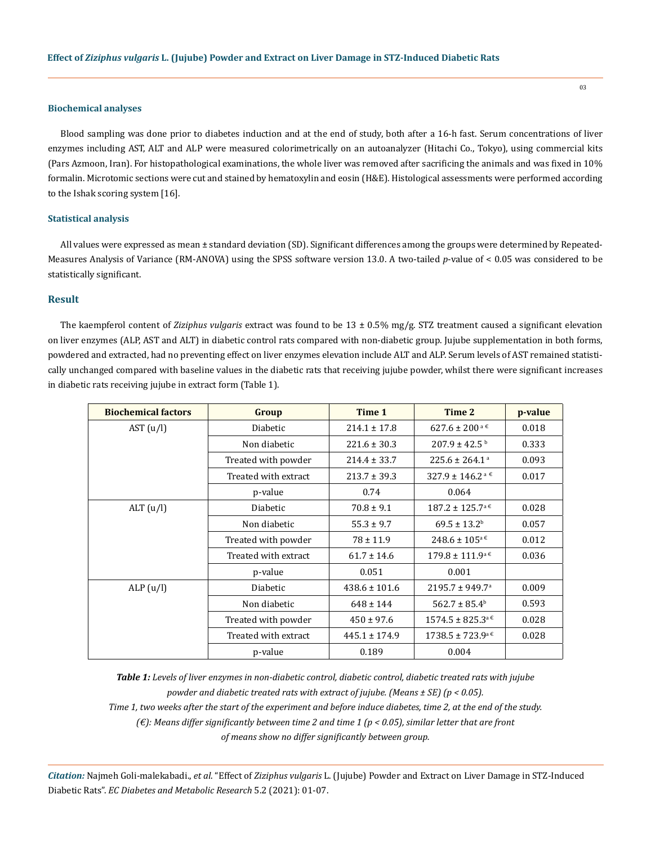#### **Biochemical analyses**

Blood sampling was done prior to diabetes induction and at the end of study, both after a 16-h fast. Serum concentrations of liver enzymes including AST, ALT and ALP were measured colorimetrically on an autoanalyzer (Hitachi Co., Tokyo), using commercial kits (Pars Azmoon, Iran). For histopathological examinations, the whole liver was removed after sacrificing the animals and was fixed in 10% formalin. Microtomic sections were cut and stained by hematoxylin and eosin (H&E). Histological assessments were performed according to the Ishak scoring system [16].

#### **Statistical analysis**

All values were expressed as mean ± standard deviation (SD). Significant differences among the groups were determined by Repeated-Measures Analysis of Variance (RM-ANOVA) using the SPSS software version 13.0. A two-tailed *p*-value of < 0.05 was considered to be statistically significant.

## **Result**

The kaempferol content of *Ziziphus vulgaris* extract was found to be 13 ± 0.5% mg/g. STZ treatment caused a significant elevation on liver enzymes (ALP, AST and ALT) in diabetic control rats compared with non-diabetic group. Jujube supplementation in both forms, powdered and extracted, had no preventing effect on liver enzymes elevation include ALT and ALP. Serum levels of AST remained statistically unchanged compared with baseline values in the diabetic rats that receiving jujube powder, whilst there were significant increases in diabetic rats receiving jujube in extract form (Table 1).

| <b>Biochemical factors</b> | Group                | Time 1            | Time 2                                      | p-value |
|----------------------------|----------------------|-------------------|---------------------------------------------|---------|
| AST $(u/l)$                | Diabetic             | $214.1 \pm 17.8$  | $627.6 \pm 200^{\text{a}}$ 6                | 0.018   |
|                            | Non diabetic         | $221.6 \pm 30.3$  | $207.9 \pm 42.5$ b                          | 0.333   |
|                            | Treated with powder  | $214.4 \pm 33.7$  | $225.6 \pm 264.1^{\circ}$                   | 0.093   |
|                            | Treated with extract | $213.7 \pm 39.3$  | $327.9 \pm 146.2^{\text{a} \cdot \epsilon}$ | 0.017   |
|                            | p-value              | 0.74              | 0.064                                       |         |
| ALT(u/l)                   | Diabetic             | $70.8 \pm 9.1$    | $187.2 \pm 125.7^{\text{a} }$ €             | 0.028   |
|                            | Non diabetic         | $55.3 \pm 9.7$    | $69.5 \pm 13.2^{\rm b}$                     | 0.057   |
|                            | Treated with powder  | $78 \pm 11.9$     | $248.6 \pm 105^{\text{a}}$ $\in$            | 0.012   |
|                            | Treated with extract | $61.7 \pm 14.6$   | $179.8 \pm 111.9^{\mathrm{a}}$ $\epsilon$   | 0.036   |
|                            | p-value              | 0.051             | 0.001                                       |         |
| ALP (u/l)                  | <b>Diabetic</b>      | $438.6 \pm 101.6$ | $2195.7 \pm 949.7$ <sup>a</sup>             | 0.009   |
|                            | Non diabetic         | $648 \pm 144$     | $562.7 \pm 85.4^b$                          | 0.593   |
|                            | Treated with powder  | $450 \pm 97.6$    | $1574.5 \pm 825.3^{\text{a} }$ €            | 0.028   |
|                            | Treated with extract | $445.1 \pm 174.9$ | $1738.5 \pm 723.9^{\mathrm{a}}$ $\in$       | 0.028   |
|                            | p-value              | 0.189             | 0.004                                       |         |

*Table 1: Levels of liver enzymes in non-diabetic control, diabetic control, diabetic treated rats with jujube powder and diabetic treated rats with extract of jujube. (Means ± SE) (p < 0.05). Time 1, two weeks after the start of the experiment and before induce diabetes, time 2, at the end of the study. (€): Means differ significantly between time 2 and time 1 (p < 0.05), similar letter that are front* 

*of means show no differ significantly between group.*

*Citation:* Najmeh Goli-malekabadi., *et al*. "Effect of *Ziziphus vulgaris* L. (Jujube) Powder and Extract on Liver Damage in STZ-Induced Diabetic Rats". *EC Diabetes and Metabolic Research* 5.2 (2021): 01-07.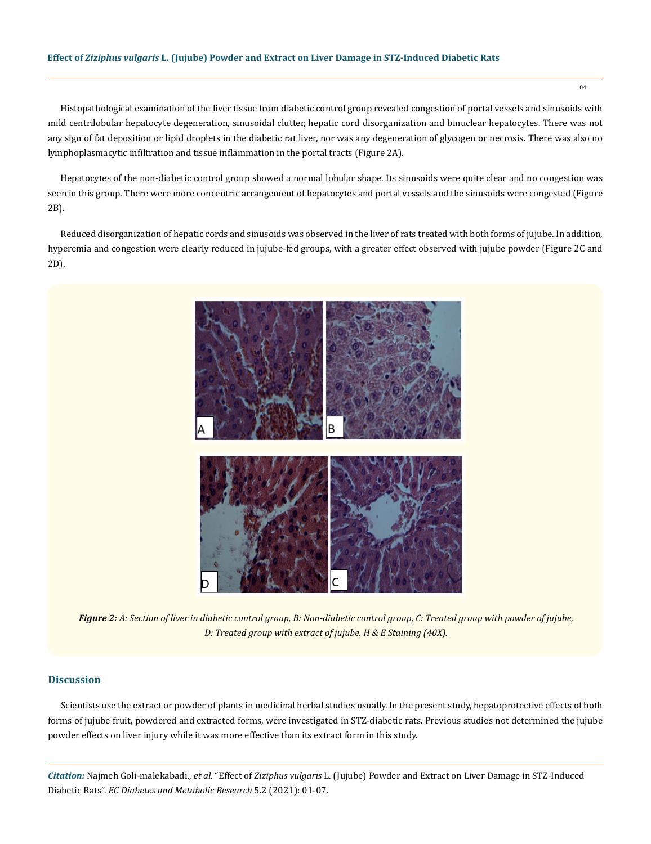#### **Effect of** *Ziziphus vulgaris* **L. (Jujube) Powder and Extract on Liver Damage in STZ-Induced Diabetic Rats**

Histopathological examination of the liver tissue from diabetic control group revealed congestion of portal vessels and sinusoids with mild centrilobular hepatocyte degeneration, sinusoidal clutter, hepatic cord disorganization and binuclear hepatocytes. There was not any sign of fat deposition or lipid droplets in the diabetic rat liver, nor was any degeneration of glycogen or necrosis. There was also no lymphoplasmacytic infiltration and tissue inflammation in the portal tracts (Figure 2A).

Hepatocytes of the non-diabetic control group showed a normal lobular shape. Its sinusoids were quite clear and no congestion was seen in this group. There were more concentric arrangement of hepatocytes and portal vessels and the sinusoids were congested (Figure 2B).

Reduced disorganization of hepatic cords and sinusoids was observed in the liver of rats treated with both forms of jujube. In addition, hyperemia and congestion were clearly reduced in jujube-fed groups, with a greater effect observed with jujube powder (Figure 2C and 2D).



*Figure 2: A: Section of liver in diabetic control group, B: Non-diabetic control group, C: Treated group with powder of jujube, D: Treated group with extract of jujube. H & E Staining (40X).*

### **Discussion**

Scientists use the extract or powder of plants in medicinal herbal studies usually. In the present study, hepatoprotective effects of both forms of jujube fruit, powdered and extracted forms, were investigated in STZ-diabetic rats. Previous studies not determined the jujube powder effects on liver injury while it was more effective than its extract form in this study.

*Citation:* Najmeh Goli-malekabadi., *et al*. "Effect of *Ziziphus vulgaris* L. (Jujube) Powder and Extract on Liver Damage in STZ-Induced Diabetic Rats". *EC Diabetes and Metabolic Research* 5.2 (2021): 01-07.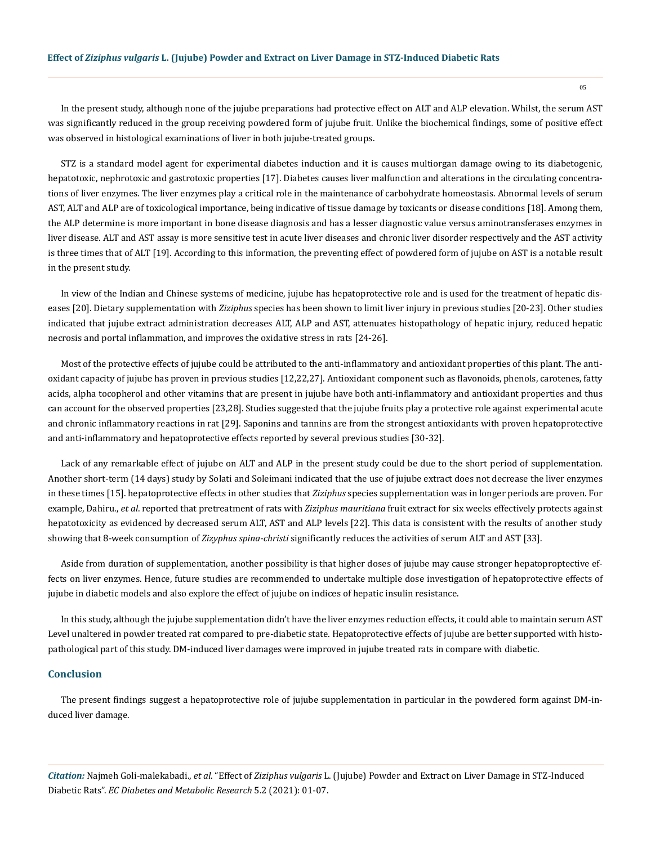In the present study, although none of the jujube preparations had protective effect on ALT and ALP elevation. Whilst, the serum AST was significantly reduced in the group receiving powdered form of jujube fruit. Unlike the biochemical findings, some of positive effect was observed in histological examinations of liver in both jujube-treated groups.

STZ is a standard model agent for experimental diabetes induction and it is causes multiorgan damage owing to its diabetogenic, hepatotoxic, nephrotoxic and gastrotoxic properties [17]. Diabetes causes liver malfunction and alterations in the circulating concentrations of liver enzymes. The liver enzymes play a critical role in the maintenance of carbohydrate homeostasis. Abnormal levels of serum AST, ALT and ALP are of toxicological importance, being indicative of tissue damage by toxicants or disease conditions [18]. Among them, the ALP determine is more important in bone disease diagnosis and has a lesser diagnostic value versus aminotransferases enzymes in liver disease. ALT and AST assay is more sensitive test in acute liver diseases and chronic liver disorder respectively and the AST activity is three times that of ALT [19]. According to this information, the preventing effect of powdered form of jujube on AST is a notable result in the present study.

In view of the Indian and Chinese systems of medicine, jujube has hepatoprotective role and is used for the treatment of hepatic diseases [20]. Dietary supplementation with *Ziziphus* species has been shown to limit liver injury in previous studies [20-23]. Other studies indicated that jujube extract administration decreases ALT, ALP and AST, attenuates histopathology of hepatic injury, reduced hepatic necrosis and portal inflammation, and improves the oxidative stress in rats [24-26].

Most of the protective effects of jujube could be attributed to the anti-inflammatory and antioxidant properties of this plant. The antioxidant capacity of jujube has proven in previous studies [12,22,27]. Antioxidant component such as flavonoids, phenols, carotenes, fatty acids, alpha tocopherol and other vitamins that are present in jujube have both anti-inflammatory and antioxidant properties and thus can account for the observed properties [23,28]. Studies suggested that the jujube fruits play a protective role against experimental acute and chronic inflammatory reactions in rat [29]. Saponins and tannins are from the strongest antioxidants with proven hepatoprotective and anti-inflammatory and hepatoprotective effects reported by several previous studies [30-32].

Lack of any remarkable effect of jujube on ALT and ALP in the present study could be due to the short period of supplementation. Another short-term (14 days) study by Solati and Soleimani indicated that the use of jujube extract does not decrease the liver enzymes in these times [15]. hepatoprotective effects in other studies that *Ziziphus* species supplementation was in longer periods are proven. For example, Dahiru., *et al*. reported that pretreatment of rats with *Ziziphus mauritiana* fruit extract for six weeks effectively protects against hepatotoxicity as evidenced by decreased serum ALT, AST and ALP levels [22]. This data is consistent with the results of another study showing that 8-week consumption of *Zizyphus spina-christi* significantly reduces the activities of serum ALT and AST [33].

Aside from duration of supplementation, another possibility is that higher doses of jujube may cause stronger hepatoproptective effects on liver enzymes. Hence, future studies are recommended to undertake multiple dose investigation of hepatoprotective effects of jujube in diabetic models and also explore the effect of jujube on indices of hepatic insulin resistance.

In this study, although the jujube supplementation didn't have the liver enzymes reduction effects, it could able to maintain serum AST Level unaltered in powder treated rat compared to pre-diabetic state. Hepatoprotective effects of jujube are better supported with histopathological part of this study. DM-induced liver damages were improved in jujube treated rats in compare with diabetic.

#### **Conclusion**

The present findings suggest a hepatoprotective role of jujube supplementation in particular in the powdered form against DM-induced liver damage.

*Citation:* Najmeh Goli-malekabadi., *et al*. "Effect of *Ziziphus vulgaris* L. (Jujube) Powder and Extract on Liver Damage in STZ-Induced Diabetic Rats". *EC Diabetes and Metabolic Research* 5.2 (2021): 01-07.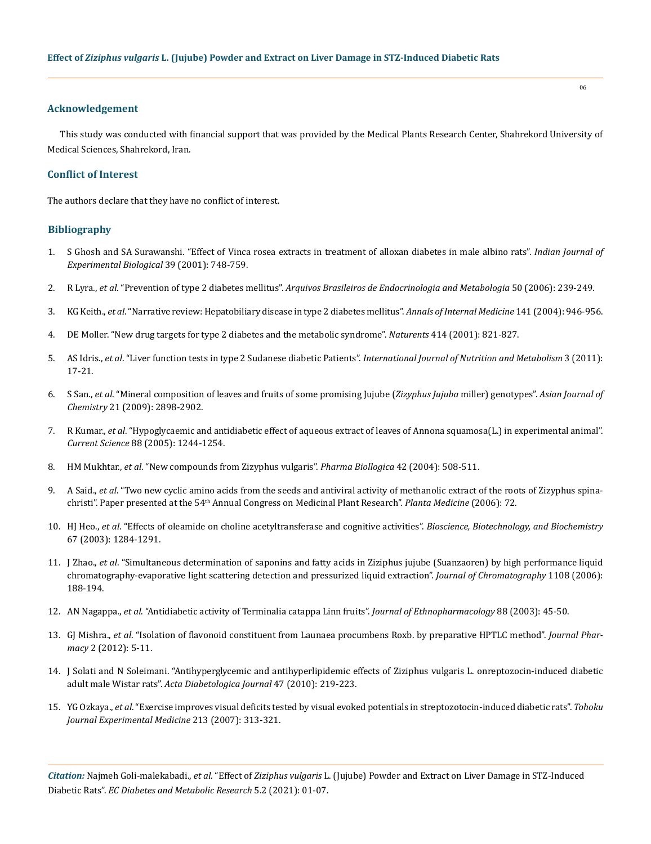#### **Acknowledgement**

This study was conducted with financial support that was provided by the Medical Plants Research Center, Shahrekord University of Medical Sciences, Shahrekord, Iran.

#### **Conflict of Interest**

The authors declare that they have no conflict of interest.

#### **Bibliography**

- 1. [S Ghosh and SA Surawanshi. "Effect of Vinca rosea extracts in treatment of alloxan diabetes in male albino rats".](https://pubmed.ncbi.nlm.nih.gov/12018575/) *Indian Journal of [Experimental Biological](https://pubmed.ncbi.nlm.nih.gov/12018575/)* 39 (2001): 748-759.
- 2. R Lyra., *et al*. "Prevention of type 2 diabetes mellitus". *[Arquivos Brasileiros de Endocrinologia and Metabologia](https://pubmed.ncbi.nlm.nih.gov/16767290/)* 50 (2006): 239-249.
- 3. KG Keith., *et al*[. "Narrative review: Hepatobiliary disease in type 2 diabetes mellitus".](https://pubmed.ncbi.nlm.nih.gov/15611492/) *Annals of Internal Medicine* 141 (2004): 946-956.
- 4. [DE Moller. "New drug targets for type 2 diabetes and the metabolic syndrome".](https://pubmed.ncbi.nlm.nih.gov/11742415/) *Naturents* 414 (2001): 821-827.
- 5. AS Idris., *et al*. "Liver function tests in type 2 Sudanese diabetic Patients". *[International Journal of Nutrition and Metabolism](https://www.researchgate.net/publication/284819426_Liver_function_tests_in_type_2_Sudanese_diabetic_patients)* 3 (2011): [17-21.](https://www.researchgate.net/publication/284819426_Liver_function_tests_in_type_2_Sudanese_diabetic_patients)
- 6. S San., *et al*[. "Mineral composition of leaves and fruits of some promising Jujube \(](https://www.researchgate.net/profile/Bekir-San-2/publication/260019161_Mineral_Composition_of_Leaves_and_Fruits_of_Some_Promising_Jujube_Zizyphus_jujuba_Miller_Genotypes/links/53f73a160cf22be01c454f5c/Mineral-Composition-of-Leaves-and-Fruits-of-Some-Promising-Jujube-Zizyphus-jujuba-Miller-Genotypes.pdf)*Zizyphus Jujuba* miller) genotypes". *Asian Journal of Chemistry* [21 \(2009\): 2898-2902.](https://www.researchgate.net/profile/Bekir-San-2/publication/260019161_Mineral_Composition_of_Leaves_and_Fruits_of_Some_Promising_Jujube_Zizyphus_jujuba_Miller_Genotypes/links/53f73a160cf22be01c454f5c/Mineral-Composition-of-Leaves-and-Fruits-of-Some-Promising-Jujube-Zizyphus-jujuba-Miller-Genotypes.pdf)
- 7. R Kumar., *et al*[. "Hypoglycaemic and antidiabetic effect of aqueous extract of leaves of Annona squamosa\(L.\) in experimental animal".](https://pubmed.ncbi.nlm.nih.gov/15848023/) *Current Science* [88 \(2005\): 1244-1254.](https://pubmed.ncbi.nlm.nih.gov/15848023/)
- 8. HM Mukhtar., *et al*[. "New compounds from Zizyphus vulgaris".](https://www.researchgate.net/publication/42253869_New_Compounds_from_Zizyphus_vulgaris) *Pharma Biollogica* 42 (2004): 508-511.
- 9. A Said., *et al*. "Two new cyclic amino acids from the seeds and antiviral activity of methanolic extract of the roots of Zizyphus spinachristi". Paper presented at the 54th Annual Congress on Medicinal Plant Research". *Planta Medicine* (2006): 72.
- 10. HJ Heo., *et al*[. "Effects of oleamide on choline acetyltransferase and cognitive activities".](https://www.tandfonline.com/doi/abs/10.1271/bbb.67.1284) *Bioscience, Biotechnology, and Biochemistry*  [67 \(2003\): 1284-1291.](https://www.tandfonline.com/doi/abs/10.1271/bbb.67.1284)
- 11. J Zhao., *et al*[. "Simultaneous determination of saponins and fatty acids in Ziziphus jujube \(Suanzaoren\) by high performance liquid](https://pubmed.ncbi.nlm.nih.gov/16458908/) [chromatography-evaporative light scattering detection and pressurized liquid extraction".](https://pubmed.ncbi.nlm.nih.gov/16458908/) *Journal of Chromatography* 1108 (2006): [188-194.](https://pubmed.ncbi.nlm.nih.gov/16458908/)
- 12. AN Nagappa., *et al*[. "Antidiabetic activity of Terminalia catappa Linn fruits".](https://pubmed.ncbi.nlm.nih.gov/12902049/) *Journal of Ethnopharmacology* 88 (2003): 45-50.
- 13. GJ Mishra., *et al*[. "Isolation of flavonoid constituent from Launaea procumbens Roxb. by preparative HPTLC method".](https://www.researchgate.net/publication/266417519_Isolation_of_Flavonoid_Constituent_from_Launaea_procumbens_Roxb_by_Preparative_HPTLC_Method) *Journal Pharmacy* [2 \(2012\): 5-11.](https://www.researchgate.net/publication/266417519_Isolation_of_Flavonoid_Constituent_from_Launaea_procumbens_Roxb_by_Preparative_HPTLC_Method)
- 14. [J Solati and N Soleimani. "Antihyperglycemic and antihyperlipidemic effects of Ziziphus vulgaris L. onreptozocin-induced diabetic](https://link.springer.com/article/10.1007/s00592-009-0166-8) adult male Wistar rats". *[Acta Diabetologica Journal](https://link.springer.com/article/10.1007/s00592-009-0166-8)* 47 (2010): 219-223.
- 15. YG Ozkaya., *et al*[. "Exercise improves visual deficits tested by visual evoked potentials in streptozotocin-induced diabetic rats".](https://pubmed.ncbi.nlm.nih.gov/18075235/) *Tohoku [Journal Experimental Medicine](https://pubmed.ncbi.nlm.nih.gov/18075235/)* 213 (2007): 313-321.

*Citation:* Najmeh Goli-malekabadi., *et al*. "Effect of *Ziziphus vulgaris* L. (Jujube) Powder and Extract on Liver Damage in STZ-Induced Diabetic Rats". *EC Diabetes and Metabolic Research* 5.2 (2021): 01-07.